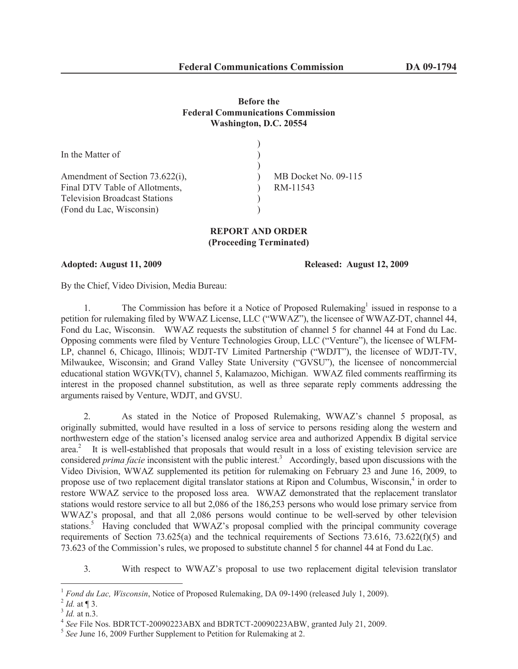## **Before the Federal Communications Commission Washington, D.C. 20554**

| MB Docket No. 09-115 |
|----------------------|
| RM-11543             |
|                      |
|                      |
|                      |

## **REPORT AND ORDER (Proceeding Terminated)**

**Adopted: August 11, 2009 Released: August 12, 2009**

By the Chief, Video Division, Media Bureau:

1. The Commission has before it a Notice of Proposed Rulemaking<sup>1</sup> issued in response to a petition for rulemaking filed by WWAZ License, LLC ("WWAZ"), the licensee of WWAZ-DT, channel 44, Fond du Lac, Wisconsin. WWAZ requests the substitution of channel 5 for channel 44 at Fond du Lac. Opposing comments were filed by Venture Technologies Group, LLC ("Venture"), the licensee of WLFM-LP, channel 6, Chicago, Illinois; WDJT-TV Limited Partnership ("WDJT"), the licensee of WDJT-TV, Milwaukee, Wisconsin; and Grand Valley State University ("GVSU"), the licensee of noncommercial educational station WGVK(TV), channel 5, Kalamazoo, Michigan. WWAZ filed comments reaffirming its interest in the proposed channel substitution, as well as three separate reply comments addressing the arguments raised by Venture, WDJT, and GVSU.

2. As stated in the Notice of Proposed Rulemaking, WWAZ's channel 5 proposal, as originally submitted, would have resulted in a loss of service to persons residing along the western and northwestern edge of the station's licensed analog service area and authorized Appendix B digital service area.<sup>2</sup> It is well-established that proposals that would result in a loss of existing television service are considered *prima facie* inconsistent with the public interest.<sup>3</sup> Accordingly, based upon discussions with the Video Division, WWAZ supplemented its petition for rulemaking on February 23 and June 16, 2009, to propose use of two replacement digital translator stations at Ripon and Columbus, Wisconsin,<sup>4</sup> in order to restore WWAZ service to the proposed loss area. WWAZ demonstrated that the replacement translator stations would restore service to all but 2,086 of the 186,253 persons who would lose primary service from WWAZ's proposal, and that all 2,086 persons would continue to be well-served by other television stations.<sup>5</sup> Having concluded that WWAZ's proposal complied with the principal community coverage requirements of Section 73.625(a) and the technical requirements of Sections 73.616, 73.622(f)(5) and 73.623 of the Commission's rules, we proposed to substitute channel 5 for channel 44 at Fond du Lac.

3. With respect to WWAZ's proposal to use two replacement digital television translator

<sup>&</sup>lt;sup>1</sup> *Fond du Lac, Wisconsin*, Notice of Proposed Rulemaking, DA 09-1490 (released July 1, 2009).

 $^{2}$  *Id.* at ¶ 3.

<sup>3</sup> *Id.* at n.3.

<sup>4</sup> *See* File Nos. BDRTCT-20090223ABX and BDRTCT-20090223ABW, granted July 21, 2009.

<sup>&</sup>lt;sup>5</sup> See June 16, 2009 Further Supplement to Petition for Rulemaking at 2.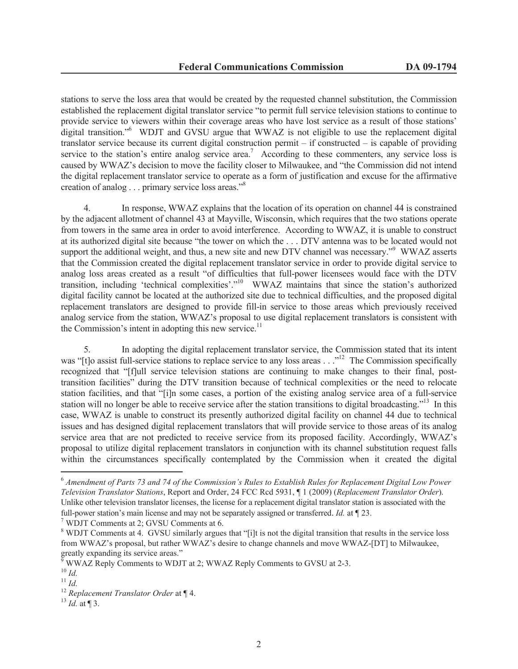stations to serve the loss area that would be created by the requested channel substitution, the Commission established the replacement digital translator service "to permit full service television stations to continue to provide service to viewers within their coverage areas who have lost service as a result of those stations' digital transition."<sup>6</sup> WDJT and GVSU argue that WWAZ is not eligible to use the replacement digital translator service because its current digital construction permit – if constructed – is capable of providing service to the station's entire analog service area.<sup>7</sup> According to these commenters, any service loss is caused by WWAZ's decision to move the facility closer to Milwaukee, and "the Commission did not intend the digital replacement translator service to operate as a form of justification and excuse for the affirmative creation of analog . . . primary service loss areas."<sup>8</sup>

4. In response, WWAZ explains that the location of its operation on channel 44 is constrained by the adjacent allotment of channel 43 at Mayville, Wisconsin, which requires that the two stations operate from towers in the same area in order to avoid interference. According to WWAZ, it is unable to construct at its authorized digital site because "the tower on which the . . . DTV antenna was to be located would not support the additional weight, and thus, a new site and new DTV channel was necessary."<sup>9</sup> WWAZ asserts that the Commission created the digital replacement translator service in order to provide digital service to analog loss areas created as a result "of difficulties that full-power licensees would face with the DTV transition, including 'technical complexities'."<sup>10</sup> WWAZ maintains that since the station's authorized digital facility cannot be located at the authorized site due to technical difficulties, and the proposed digital replacement translators are designed to provide fill-in service to those areas which previously received analog service from the station, WWAZ's proposal to use digital replacement translators is consistent with the Commission's intent in adopting this new service.<sup>11</sup>

5. In adopting the digital replacement translator service, the Commission stated that its intent was "[t]o assist full-service stations to replace service to any loss areas . . ."<sup>12</sup> The Commission specifically recognized that "[f]ull service television stations are continuing to make changes to their final, posttransition facilities" during the DTV transition because of technical complexities or the need to relocate station facilities, and that "[i]n some cases, a portion of the existing analog service area of a full-service station will no longer be able to receive service after the station transitions to digital broadcasting."<sup>13</sup> In this case, WWAZ is unable to construct its presently authorized digital facility on channel 44 due to technical issues and has designed digital replacement translators that will provide service to those areas of its analog service area that are not predicted to receive service from its proposed facility. Accordingly, WWAZ's proposal to utilize digital replacement translators in conjunction with its channel substitution request falls within the circumstances specifically contemplated by the Commission when it created the digital

<sup>6</sup> *Amendment of Parts 73 and 74 of the Commission's Rules to Establish Rules for Replacement Digital Low Power Television Translator Stations*, Report and Order, 24 FCC Rcd 5931, ¶ 1 (2009) (*Replacement Translator Order*). Unlike other television translator licenses, the license for a replacement digital translator station is associated with the full-power station's main license and may not be separately assigned or transferred. *Id.* at ¶ 23.

<sup>7</sup> WDJT Comments at 2; GVSU Comments at 6.

<sup>&</sup>lt;sup>8</sup> WDJT Comments at 4. GVSU similarly argues that "[i]t is not the digital transition that results in the service loss from WWAZ's proposal, but rather WWAZ's desire to change channels and move WWAZ-[DT] to Milwaukee, greatly expanding its service areas."

<sup>9</sup> WWAZ Reply Comments to WDJT at 2; WWAZ Reply Comments to GVSU at 2-3.

<sup>10</sup> *Id.*

<sup>11</sup> *Id.*

<sup>12</sup> *Replacement Translator Order* at ¶ 4.

 $^{13}$  *Id.* at ¶ 3.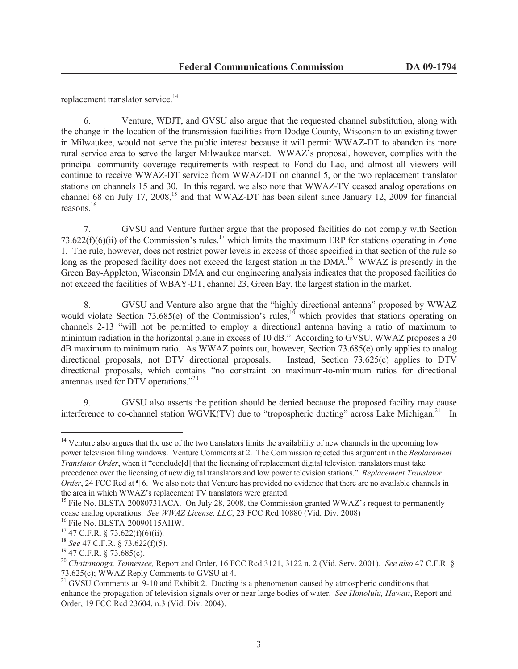replacement translator service.<sup>14</sup>

6. Venture, WDJT, and GVSU also argue that the requested channel substitution, along with the change in the location of the transmission facilities from Dodge County, Wisconsin to an existing tower in Milwaukee, would not serve the public interest because it will permit WWAZ-DT to abandon its more rural service area to serve the larger Milwaukee market. WWAZ's proposal, however, complies with the principal community coverage requirements with respect to Fond du Lac, and almost all viewers will continue to receive WWAZ-DT service from WWAZ-DT on channel 5, or the two replacement translator stations on channels 15 and 30. In this regard, we also note that WWAZ-TV ceased analog operations on channel 68 on July 17, 2008,<sup>15</sup> and that WWAZ-DT has been silent since January 12, 2009 for financial reasons.<sup>16</sup>

7. GVSU and Venture further argue that the proposed facilities do not comply with Section 73.622(f)(6)(ii) of the Commission's rules,<sup>17</sup> which limits the maximum ERP for stations operating in Zone 1. The rule, however, does not restrict power levels in excess of those specified in that section of the rule so long as the proposed facility does not exceed the largest station in the DMA.<sup>18</sup> WWAZ is presently in the Green Bay-Appleton, Wisconsin DMA and our engineering analysis indicates that the proposed facilities do not exceed the facilities of WBAY-DT, channel 23, Green Bay, the largest station in the market.

8. GVSU and Venture also argue that the "highly directional antenna" proposed by WWAZ would violate Section 73.685(e) of the Commission's rules,<sup>19</sup> which provides that stations operating on channels 2-13 "will not be permitted to employ a directional antenna having a ratio of maximum to minimum radiation in the horizontal plane in excess of 10 dB." According to GVSU, WWAZ proposes a 30 dB maximum to minimum ratio. As WWAZ points out, however, Section 73.685(e) only applies to analog directional proposals, not DTV directional proposals. Instead, Section 73.625(c) applies to DTV directional proposals, which contains "no constraint on maximum-to-minimum ratios for directional antennas used for DTV operations."<sup>20</sup>

9. GVSU also asserts the petition should be denied because the proposed facility may cause interference to co-channel station WGVK(TV) due to "tropospheric ducting" across Lake Michigan.<sup>21</sup> In

<sup>&</sup>lt;sup>14</sup> Venture also argues that the use of the two translators limits the availability of new channels in the upcoming low power television filing windows. Venture Comments at 2. The Commission rejected this argument in the *Replacement Translator Order*, when it "conclude<sup>[d]</sup> that the licensing of replacement digital television translators must take precedence over the licensing of new digital translators and low power television stations." *Replacement Translator Order*, 24 FCC Rcd at ¶ 6. We also note that Venture has provided no evidence that there are no available channels in the area in which WWAZ's replacement TV translators were granted.

<sup>&</sup>lt;sup>15</sup> File No. BLSTA-20080731ACA. On July 28, 2008, the Commission granted WWAZ's request to permanently cease analog operations. *See WWAZ License, LLC*, 23 FCC Rcd 10880 (Vid. Div. 2008)

<sup>16</sup> File No. BLSTA-20090115AHW.

 $17$  47 C.F.R. § 73.622(f)(6)(ii).

<sup>18</sup> *See* 47 C.F.R. § 73.622(f)(5).

<sup>19</sup> 47 C.F.R. § 73.685(e).

<sup>20</sup> *Chattanooga, Tennessee,* Report and Order, 16 FCC Rcd 3121, 3122 n. 2 (Vid. Serv. 2001). *See also* 47 C.F.R. § 73.625(c); WWAZ Reply Comments to GVSU at 4.

<sup>&</sup>lt;sup>21</sup> GVSU Comments at 9-10 and Exhibit 2. Ducting is a phenomenon caused by atmospheric conditions that enhance the propagation of television signals over or near large bodies of water. *See Honolulu, Hawaii*, Report and Order, 19 FCC Rcd 23604, n.3 (Vid. Div. 2004).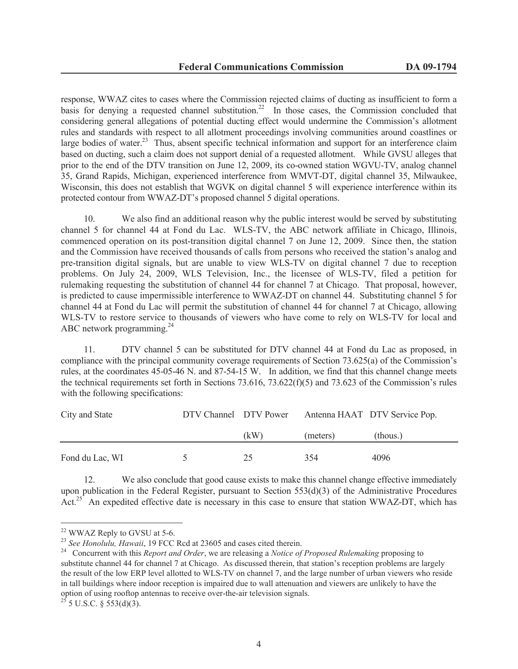response, WWAZ cites to cases where the Commission rejected claims of ducting as insufficient to form a basis for denying a requested channel substitution.<sup>22</sup> In those cases, the Commission concluded that considering general allegations of potential ducting effect would undermine the Commission's allotment rules and standards with respect to all allotment proceedings involving communities around coastlines or large bodies of water.<sup>23</sup> Thus, absent specific technical information and support for an interference claim based on ducting, such a claim does not support denial of a requested allotment. While GVSU alleges that prior to the end of the DTV transition on June 12, 2009, its co-owned station WGVU-TV, analog channel 35, Grand Rapids, Michigan, experienced interference from WMVT-DT, digital channel 35, Milwaukee, Wisconsin, this does not establish that WGVK on digital channel 5 will experience interference within its protected contour from WWAZ-DT's proposed channel 5 digital operations.

10. We also find an additional reason why the public interest would be served by substituting channel 5 for channel 44 at Fond du Lac. WLS-TV, the ABC network affiliate in Chicago, Illinois, commenced operation on its post-transition digital channel 7 on June 12, 2009. Since then, the station and the Commission have received thousands of calls from persons who received the station's analog and pre-transition digital signals, but are unable to view WLS-TV on digital channel 7 due to reception problems. On July 24, 2009, WLS Television, Inc., the licensee of WLS-TV, filed a petition for rulemaking requesting the substitution of channel 44 for channel 7 at Chicago. That proposal, however, is predicted to cause impermissible interference to WWAZ-DT on channel 44. Substituting channel 5 for channel 44 at Fond du Lac will permit the substitution of channel 44 for channel 7 at Chicago, allowing WLS-TV to restore service to thousands of viewers who have come to rely on WLS-TV for local and ABC network programming.<sup>24</sup>

11. DTV channel 5 can be substituted for DTV channel 44 at Fond du Lac as proposed, in compliance with the principal community coverage requirements of Section 73.625(a) of the Commission's rules, at the coordinates 45-05-46 N. and 87-54-15 W. In addition, we find that this channel change meets the technical requirements set forth in Sections 73.616, 73.622(f)(5) and 73.623 of the Commission's rules with the following specifications:

| City and State  | DTV Channel DTV Power |      |          | Antenna HAAT DTV Service Pop. |  |
|-----------------|-----------------------|------|----------|-------------------------------|--|
|                 |                       | (kW) | (meters) | (thous.)                      |  |
| Fond du Lac, WI | $\mathcal{L}$         | 25   | 354      | 4096                          |  |

12. We also conclude that good cause exists to make this channel change effective immediately upon publication in the Federal Register, pursuant to Section 553(d)(3) of the Administrative Procedures Act.<sup>25</sup> An expedited effective date is necessary in this case to ensure that station WWAZ-DT, which has

<sup>&</sup>lt;sup>22</sup> WWAZ Reply to GVSU at 5-6.

<sup>&</sup>lt;sup>23</sup> See Honolulu, Hawaii, 19 FCC Rcd at 23605 and cases cited therein.

<sup>24</sup> Concurrent with this *Report and Order*, we are releasing a *Notice of Proposed Rulemaking* proposing to substitute channel 44 for channel 7 at Chicago. As discussed therein, that station's reception problems are largely the result of the low ERP level allotted to WLS-TV on channel 7, and the large number of urban viewers who reside in tall buildings where indoor reception is impaired due to wall attenuation and viewers are unlikely to have the option of using rooftop antennas to receive over-the-air television signals.

 $^{25}$  5 U.S.C. § 553(d)(3).